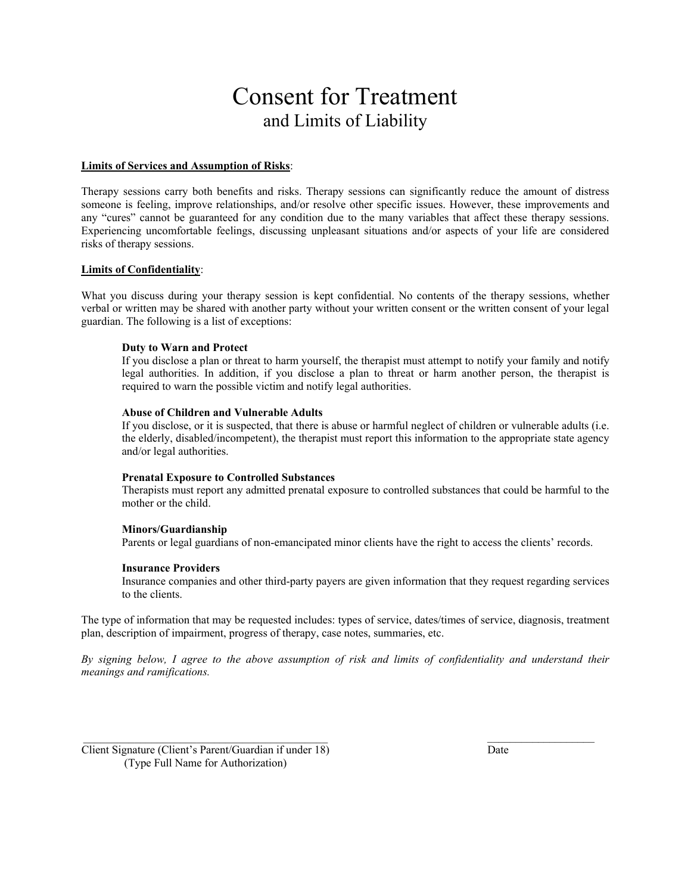# Consent for Treatment and Limits of Liability

#### **Limits of Services and Assumption of Risks**:

Therapy sessions carry both benefits and risks. Therapy sessions can significantly reduce the amount of distress someone is feeling, improve relationships, and/or resolve other specific issues. However, these improvements and any "cures" cannot be guaranteed for any condition due to the many variables that affect these therapy sessions. Experiencing uncomfortable feelings, discussing unpleasant situations and/or aspects of your life are considered risks of therapy sessions.

#### **Limits of Confidentiality**:

What you discuss during your therapy session is kept confidential. No contents of the therapy sessions, whether verbal or written may be shared with another party without your written consent or the written consent of your legal guardian. The following is a list of exceptions:

#### **Duty to Warn and Protect**

If you disclose a plan or threat to harm yourself, the therapist must attempt to notify your family and notify legal authorities. In addition, if you disclose a plan to threat or harm another person, the therapist is required to warn the possible victim and notify legal authorities.

#### **Abuse of Children and Vulnerable Adults**

If you disclose, or it is suspected, that there is abuse or harmful neglect of children or vulnerable adults (i.e. the elderly, disabled/incompetent), the therapist must report this information to the appropriate state agency and/or legal authorities.

#### **Prenatal Exposure to Controlled Substances**

Therapists must report any admitted prenatal exposure to controlled substances that could be harmful to the mother or the child.

## **Minors/Guardianship**

Parents or legal guardians of non-emancipated minor clients have the right to access the clients' records.

## **Insurance Providers**

 Insurance companies and other third-party payers are given information that they request regarding services to the clients.

The type of information that may be requested includes: types of service, dates/times of service, diagnosis, treatment plan, description of impairment, progress of therapy, case notes, summaries, etc.

*By signing below, I agree to the above assumption of risk and limits of confidentiality and understand their meanings and ramifications.* 

 $\_$  , and the state of the state of the state of the state of the state of the state of the state of the state of the state of the state of the state of the state of the state of the state of the state of the state of the

Client Signature (Client's Parent/Guardian if under 18) (Type Full Name for Authorization)

Date